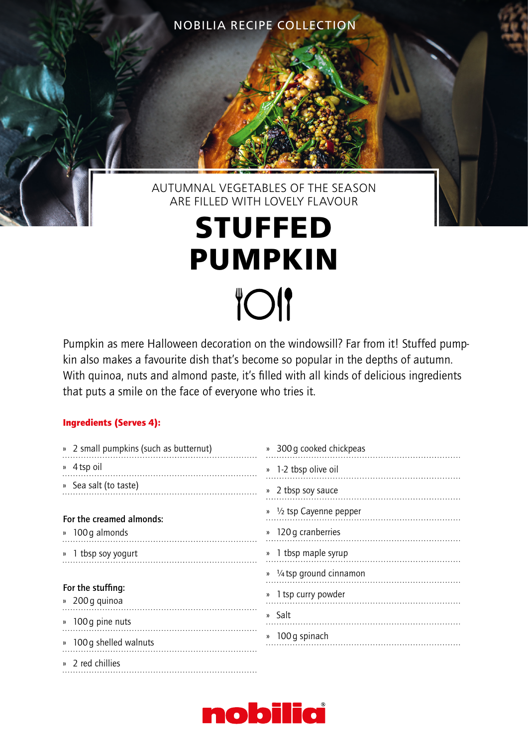NOBILIA RECIPE COLLECTION

## AUTUMNAL VEGETABLES OF THE SEASON ARE FILLED WITH LOVELY FLAVOUR

## **STUFFED PUMPKIN TOI**

Pumpkin as mere Halloween decoration on the windowsill? Far from it! Stuffed pumpkin also makes a favourite dish that's become so popular in the depths of autumn. With quinoa, nuts and almond paste, it's filled with all kinds of delicious ingredients that puts a smile on the face of everyone who tries it.

## Ingredients (Serves 4):

| » 2 small pumpkins (such as butternut) | » 300 g cooked chickpeas                      |
|----------------------------------------|-----------------------------------------------|
| » 4 tsp oil                            | » 1-2 tbsp olive oil                          |
| » Sea salt (to taste)                  | » 2 tbsp soy sauce                            |
| For the creamed almonds:               | $\frac{1}{2}$ tsp Cayenne pepper<br><b>))</b> |
| » 100 g almonds                        | 120 g cranberries<br><b>))</b>                |
| » 1 tbsp soy yogurt                    | » 1 tbsp maple syrup                          |
|                                        | » 1/4 tsp ground cinnamon                     |
| For the stuffing:<br>» 200 g quinoa    | 1 tsp curry powder                            |
| 100 g pine nuts<br><b>))</b>           | » Salt                                        |
| » 100 g shelled walnuts                | » 100 g spinach                               |
| » 2 red chillies                       |                                               |